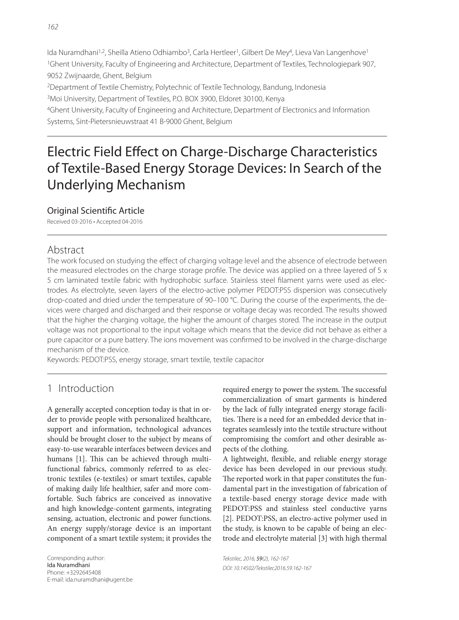Ida Nuramdhani<sup>1,2</sup>, Sheilla Atieno Odhiambo<sup>3</sup>, Carla Hertleer<sup>1</sup>, Gilbert De Mey<sup>4</sup>, Lieva Van Langenhove<sup>1</sup> 1Ghent University, Faculty of Engineering and Architecture, Department of Textiles, Technologiepark 907, 9052 Zwijnaarde, Ghent, Belgium 2Department of Textile Chemistry, Polytechnic of Textile Technology, Bandung, Indonesia

3Moi University, Department of Textiles, P.O. BOX 3900, Eldoret 30100, Kenya

4Ghent University, Faculty of Engineering and Architecture, Department of Electronics and Information Systems, Sint-Pietersnieuwstraat 41 B-9000 Ghent, Belgium

# Electric Field Effect on Charge-Discharge Characteristics of Textile-Based Energy Storage Devices: In Search of the Underlying Mechanism

### **Original Scientific Article**

Received 03-2016 • Accepted 04-2016

# Abstract

The work focused on studying the effect of charging voltage level and the absence of electrode between the measured electrodes on the charge storage profile. The device was applied on a three layered of  $5 \times$ 5 cm laminated textile fabric with hydrophobic surface. Stainless steel filament yarns were used as electrodes. As electrolyte, seven layers of the electro-active polymer PEDOT:PSS dispersion was consecutively drop-coated and dried under the temperature of 90–100 °C. During the course of the experiments, the devices were charged and discharged and their response or voltage decay was recorded. The results showed that the higher the charging voltage, the higher the amount of charges stored. The increase in the output voltage was not proportional to the input voltage which means that the device did not behave as either a pure capacitor or a pure battery. The ions movement was confirmed to be involved in the charge-discharge mechanism of the device.

Keywords: PEDOT:PSS, energy storage, smart textile, textile capacitor

# 1 Introduction

A generally accepted conception today is that in order to provide people with personalized healthcare, support and information, technological advances should be brought closer to the subject by means of easy-to-use wearable interfaces between devices and humans [1]. This can be achieved through multifunctional fabrics, commonly referred to as electronic textiles (e-textiles) or smart textiles, capable of making daily life healthier, safer and more comfortable. Such fabrics are conceived as innovative and high knowledge-content garments, integrating sensing, actuation, electronic and power functions. An energy supply/storage device is an important component of a smart textile system; it provides the required energy to power the system. The successful commercialization of smart garments is hindered by the lack of fully integrated energy storage facilities. There is a need for an embedded device that integrates seamlessly into the textile structure without compromising the comfort and other desirable aspects of the clothing.

A lightweight, flexible, and reliable energy storage device has been developed in our previous study. The reported work in that paper constitutes the fundamental part in the investigation of fabrication of a textile-based energy storage device made with PEDOT:PSS and stainless steel conductive yarns [2]. PEDOT:PSS, an electro-active polymer used in the study, is known to be capable of being an electrode and electrolyte material [3] with high thermal

Tekstilec, 2016, 59(2), 162-167 DOI: 10.14502/Tekstilec2016.59.162-167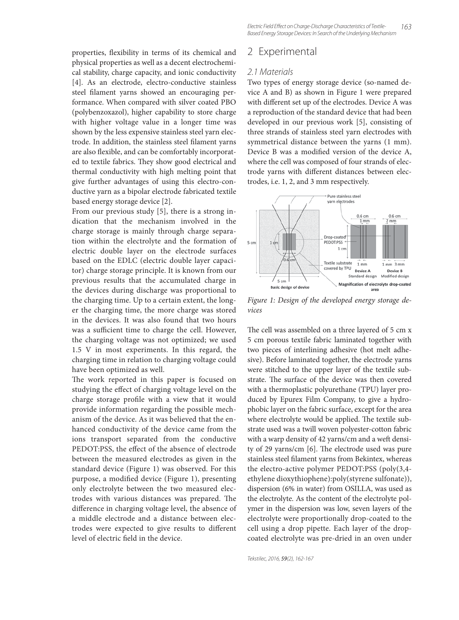properties, flexibility in terms of its chemical and physical properties as well as a decent electrochemical stability, charge capacity, and ionic conductivity [4]. As an electrode, electro-conductive stainless steel filament yarns showed an encouraging performance. When compared with silver coated PBO (polybenzoxazol), higher capability to store charge with higher voltage value in a longer time was shown by the less expensive stainless steel yarn electrode. In addition, the stainless steel filament yarns are also flexible, and can be comfortably incorporated to textile fabrics. They show good electrical and thermal conductivity with high melting point that give further advantages of using this electro-conductive yarn as a bipolar electrode fabricated textile based energy storage device [2].

From our previous study [5], there is a strong indication that the mechanism involved in the charge storage is mainly through charge separation within the electrolyte and the formation of electric double layer on the electrode surfaces based on the EDLC (electric double layer capacitor) charge storage principle. It is known from our previous results that the accumulated charge in the devices during discharge was proportional to the charging time. Up to a certain extent, the longer the charging time, the more charge was stored in the devices. It was also found that two hours was a sufficient time to charge the cell. However, the charging voltage was not optimized; we used 1.5 V in most experiments. In this regard, the charging time in relation to charging voltage could have been optimized as well.

The work reported in this paper is focused on studying the effect of charging voltage level on the charge storage profile with a view that it would provide information regarding the possible mechanism of the device. As it was believed that the enhanced conductivity of the device came from the ions transport separated from the conductive PEDOT:PSS, the effect of the absence of electrode between the measured electrodes as given in the standard device (Figure 1) was observed. For this purpose, a modified device (Figure 1), presenting only electrolyte between the two measured electrodes with various distances was prepared. The difference in charging voltage level, the absence of a middle electrode and a distance between electrodes were expected to give results to different level of electric field in the device.

### 2 Experimental

#### 2.1 Materials

Two types of energy storage device (so-named device A and B) as shown in Figure 1 were prepared with different set up of the electrodes. Device A was a reproduction of the standard device that had been developed in our previous work [5], consisting of three strands of stainless steel yarn electrodes with symmetrical distance between the yarns (1 mm). Device B was a modified version of the device A, where the cell was composed of four strands of electrode yarns with different distances between electrodes, i.e. 1, 2, and 3 mm respectively.



Figure 1: Design of the developed energy storage devices

The cell was assembled on a three layered of 5 cm x 5 cm porous textile fabric laminated together with two pieces of interlining adhesive (hot melt adhesive). Before laminated together, the electrode yarns were stitched to the upper layer of the textile substrate. The surface of the device was then covered with a thermoplastic polyurethane (TPU) layer produced by Epurex Film Company, to give a hydrophobic layer on the fabric surface, except for the area where electrolyte would be applied. The textile substrate used was a twill woven polyester-cotton fabric with a warp density of 42 yarns/cm and a weft density of 29 yarns/cm  $[6]$ . The electrode used was pure stainless steel filament yarns from Bekintex, whereas the electro-active polymer PEDOT:PSS (poly(3,4 ethylene dioxythiophene):poly(styrene sulfonate)), dispersion (6% in water) from OSILLA, was used as the electrolyte. As the content of the electrolyte polymer in the dispersion was low, seven layers of the electrolyte were proportionally drop-coated to the cell using a drop pipette. Each layer of the dropcoated electrolyte was pre-dried in an oven under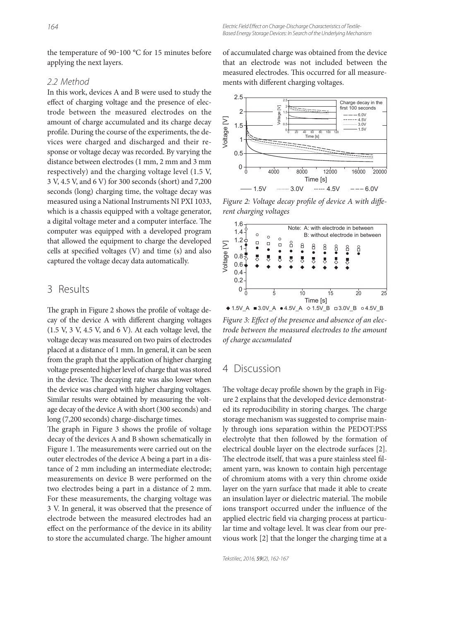the temperature of 90-100  $^{\circ}$ C for 15 minutes before applying the next layers.

#### 2.2 Method

In this work, devices A and B were used to study the effect of charging voltage and the presence of electrode between the measured electrodes on the amount of charge accumulated and its charge decay profile. During the course of the experiments, the devices were charged and discharged and their response or voltage decay was recorded. By varying the distance between electrodes (1 mm, 2 mm and 3 mm respectively) and the charging voltage level (1.5 V, 3 V, 4.5 V, and 6 V) for 300 seconds (short) and 7,200 seconds (long) charging time, the voltage decay was measured using a National Instruments NI PXI 1033, which is a chassis equipped with a voltage generator, a digital voltage meter and a computer interface. The computer was equipped with a developed program that allowed the equipment to charge the developed cells at specified voltages  $(V)$  and time  $(s)$  and also captured the voltage decay data automatically.

# 3 Results

The graph in Figure 2 shows the profile of voltage decay of the device A with different charging voltages (1.5 V, 3 V, 4.5 V, and 6 V). At each voltage level, the voltage decay was measured on two pairs of electrodes placed at a distance of 1 mm. In general, it can be seen from the graph that the application of higher charging voltage presented higher level of charge that was stored in the device. The decaying rate was also lower when the device was charged with higher charging voltages. Similar results were obtained by measuring the voltage decay of the device A with short (300 seconds) and long (7,200 seconds) charge-discharge times.

The graph in Figure 3 shows the profile of voltage decay of the devices A and B shown schematically in Figure 1. The measurements were carried out on the outer electrodes of the device A being a part in a distance of 2 mm including an intermediate electrode; measurements on device B were performed on the two electrodes being a part in a distance of 2 mm. For these measurements, the charging voltage was 3 V. In general, it was observed that the presence of electrode between the measured electrodes had an effect on the performance of the device in its ability to store the accumulated charge. The higher amount of accumulated charge was obtained from the device that an electrode was not included between the measured electrodes. This occurred for all measurements with different charging voltages.



Figure 2: Voltage decay profile of device A with different charging voltages



Figure 3: Effect of the presence and absence of an electrode between the measured electrodes to the amount of charge accumulated

#### 4 Discussion

The voltage decay profile shown by the graph in Figure 2 explains that the developed device demonstrated its reproducibility in storing charges. The charge storage mechanism was suggested to comprise mainly through ions separation within the PEDOT:PSS electrolyte that then followed by the formation of electrical double layer on the electrode surfaces [2]. The electrode itself, that was a pure stainless steel filament yarn, was known to contain high percentage of chromium atoms with a very thin chrome oxide layer on the yarn surface that made it able to create an insulation layer or dielectric material. The mobile ions transport occurred under the influence of the applied electric field via charging process at particular time and voltage level. It was clear from our previous work [2] that the longer the charging time at a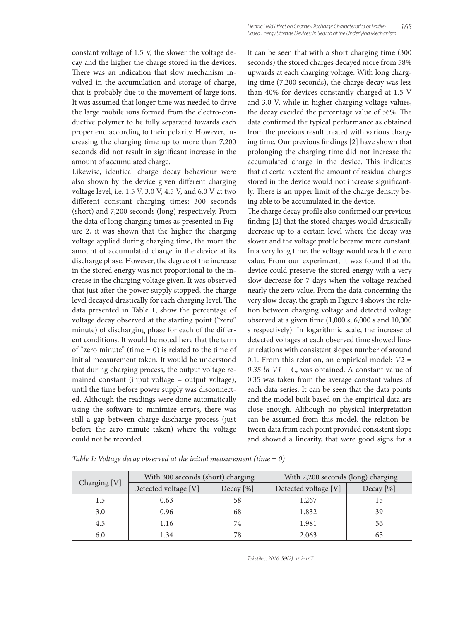constant voltage of 1.5 V, the slower the voltage decay and the higher the charge stored in the devices. There was an indication that slow mechanism involved in the accumulation and storage of charge, that is probably due to the movement of large ions. It was assumed that longer time was needed to drive the large mobile ions formed from the electro-conductive polymer to be fully separated towards each proper end according to their polarity. However, increasing the charging time up to more than 7,200 seconds did not result in significant increase in the amount of accumulated charge.

Likewise, identical charge decay behaviour were also shown by the device given different charging voltage level, i.e. 1.5 V, 3.0 V, 4.5 V, and 6.0 V at two different constant charging times: 300 seconds (short) and 7,200 seconds (long) respectively. From the data of long charging times as presented in Figure 2, it was shown that the higher the charging voltage applied during charging time, the more the amount of accumulated charge in the device at its discharge phase. However, the degree of the increase in the stored energy was not proportional to the increase in the charging voltage given. It was observed that just after the power supply stopped, the charge level decayed drastically for each charging level. The data presented in Table 1, show the percentage of voltage decay observed at the starting point ("zero" minute) of discharging phase for each of the different conditions. It would be noted here that the term of "zero minute" (time  $= 0$ ) is related to the time of initial measurement taken. It would be understood that during charging process, the output voltage remained constant (input voltage = output voltage), until the time before power supply was disconnected. Although the readings were done automatically using the software to minimize errors, there was still a gap between charge-discharge process (just before the zero minute taken) where the voltage could not be recorded.

It can be seen that with a short charging time (300 seconds) the stored charges decayed more from 58% upwards at each charging voltage. With long charging time (7,200 seconds), the charge decay was less than 40% for devices constantly charged at 1.5 V and 3.0 V, while in higher charging voltage values, the decay excided the percentage value of 56%. The data confirmed the typical performance as obtained from the previous result treated with various charging time. Our previous findings [2] have shown that prolonging the charging time did not increase the accumulated charge in the device. This indicates that at certain extent the amount of residual charges stored in the device would not increase significantly. There is an upper limit of the charge density being able to be accumulated in the device.

165

The charge decay profile also confirmed our previous finding [2] that the stored charges would drastically decrease up to a certain level where the decay was slower and the voltage profile became more constant. In a very long time, the voltage would reach the zero value. From our experiment, it was found that the device could preserve the stored energy with a very slow decrease for 7 days when the voltage reached nearly the zero value. From the data concerning the very slow decay, the graph in Figure 4 shows the relation between charging voltage and detected voltage observed at a given time (1,000 s, 6,000 s and 10,000 s respectively). In logarithmic scale, the increase of detected voltages at each observed time showed linear relations with consistent slopes number of around 0.1. From this relation, an empirical model:  $V2 =$ 0.35  $ln$  V1 + C, was obtained. A constant value of 0.35 was taken from the average constant values of each data series. It can be seen that the data points and the model built based on the empirical data are close enough. Although no physical interpretation can be assumed from this model, the relation between data from each point provided consistent slope and showed a linearity, that were good signs for a

| Charging [V] | With 300 seconds (short) charging |             | With 7,200 seconds (long) charging |              |
|--------------|-----------------------------------|-------------|------------------------------------|--------------|
|              | Detected voltage [V]              | Decay $[%]$ | Detected voltage [V]               | Decay $[\%]$ |
| 1.5          | 0.63                              | 58          | 1.267                              | 15           |
| 3.0          | 0.96                              | 68          | 1.832                              | 39           |
| 4.5          | 1.16                              | 74          | 1.981                              | 56           |
| 6.0          | 1.34                              | 78          | 2.063                              |              |

Table 1: Voltage decay observed at the initial measurement (time  $= 0$ )

Tekstilec, 2016, 59(2), 162-167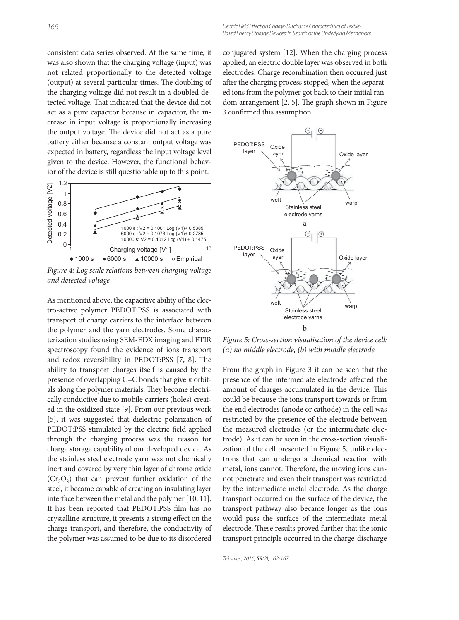consistent data series observed. At the same time, it was also shown that the charging voltage (input) was not related proportionally to the detected voltage (output) at several particular times. The doubling of the charging voltage did not result in a doubled detected voltage. That indicated that the device did not act as a pure capacitor because in capacitor, the increase in input voltage is proportionally increasing the output voltage. The device did not act as a pure battery either because a constant output voltage was expected in battery, regardless the input voltage level given to the device. However, the functional behavior of the device is still questionable up to this point.



Figure 4: Log scale relations between charging voltage and detected voltage

As mentioned above, the capacitive ability of the electro-active polymer PEDOT:PSS is associated with transport of charge carriers to the interface between the polymer and the yarn electrodes. Some characterization studies using SEM-EDX imaging and FTIR spectroscopy found the evidence of ions transport and redox reversibility in PEDOT:PSS [7, 8]. The ability to transport charges itself is caused by the presence of overlapping C=C bonds that give π orbitals along the polymer materials. They become electrically conductive due to mobile carriers (holes) created in the oxidized state [9]. From our previous work [5], it was suggested that dielectric polarization of PEDOT:PSS stimulated by the electric field applied through the charging process was the reason for charge storage capability of our developed device. As the stainless steel electrode yarn was not chemically inert and covered by very thin layer of chrome oxide  $(Cr_2O_3)$  that can prevent further oxidation of the steel, it became capable of creating an insulating layer interface between the metal and the polymer [10, 11]. It has been reported that PEDOT:PSS film has no crystalline structure, it presents a strong effect on the charge transport, and therefore, the conductivity of the polymer was assumed to be due to its disordered conjugated system [12]. When the charging process applied, an electric double layer was observed in both electrodes. Charge recombination then occurred just after the charging process stopped, when the separated ions from the polymer got back to their initial random arrangement  $[2, 5]$ . The graph shown in Figure 3 confirmed this assumption.



Figure 5: Cross-section visualisation of the device cell: (a) no middle electrode, (b) with middle electrode

From the graph in Figure 3 it can be seen that the presence of the intermediate electrode affected the amount of charges accumulated in the device. This could be because the ions transport towards or from the end electrodes (anode or cathode) in the cell was restricted by the presence of the electrode between the measured electrodes (or the intermediate electrode). As it can be seen in the cross-section visualization of the cell presented in Figure 5, unlike electrons that can undergo a chemical reaction with metal, ions cannot. Therefore, the moving ions cannot penetrate and even their transport was restricted by the intermediate metal electrode. As the charge transport occurred on the surface of the device, the transport pathway also became longer as the ions would pass the surface of the intermediate metal electrode. These results proved further that the ionic transport principle occurred in the charge-discharge